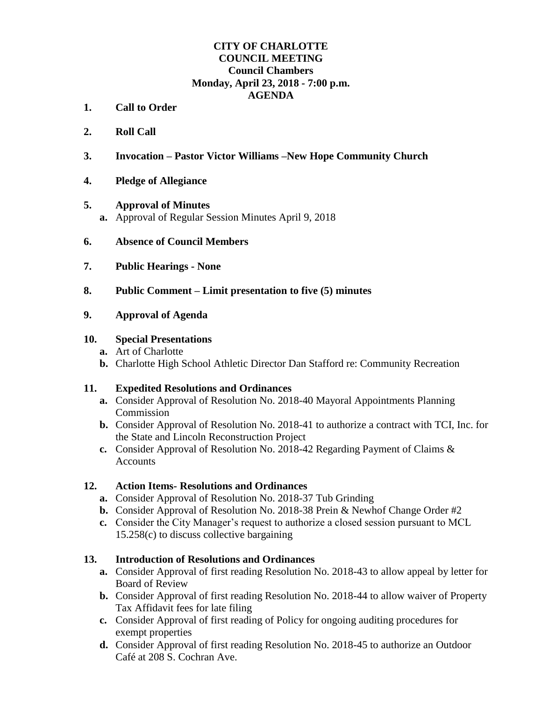## **CITY OF CHARLOTTE COUNCIL MEETING Council Chambers Monday, April 23, 2018 - 7:00 p.m. AGENDA**

- **1. Call to Order**
- **2. Roll Call**
- **3. Invocation – Pastor Victor Williams –New Hope Community Church**
- **4. Pledge of Allegiance**

#### **5. Approval of Minutes**

- **a.** Approval of Regular Session Minutes April 9, 2018
- **6. Absence of Council Members**
- **7. Public Hearings - None**
- **8. Public Comment – Limit presentation to five (5) minutes**

#### **9. Approval of Agenda**

#### **10. Special Presentations**

- **a.** Art of Charlotte
- **b.** Charlotte High School Athletic Director Dan Stafford re: Community Recreation

## **11. Expedited Resolutions and Ordinances**

- **a.** Consider Approval of Resolution No. 2018-40 Mayoral Appointments Planning Commission
- **b.** Consider Approval of Resolution No. 2018-41 to authorize a contract with TCI, Inc. for the State and Lincoln Reconstruction Project
- **c.** Consider Approval of Resolution No. 2018-42 Regarding Payment of Claims & **Accounts**

## **12. Action Items- Resolutions and Ordinances**

- **a.** Consider Approval of Resolution No. 2018-37 Tub Grinding
- **b.** Consider Approval of Resolution No. 2018-38 Prein & Newhof Change Order #2
- **c.** Consider the City Manager's request to authorize a closed session pursuant to MCL 15.258(c) to discuss collective bargaining

## **13. Introduction of Resolutions and Ordinances**

- **a.** Consider Approval of first reading Resolution No. 2018-43 to allow appeal by letter for Board of Review
- **b.** Consider Approval of first reading Resolution No. 2018-44 to allow waiver of Property Tax Affidavit fees for late filing
- **c.** Consider Approval of first reading of Policy for ongoing auditing procedures for exempt properties
- **d.** Consider Approval of first reading Resolution No. 2018-45 to authorize an Outdoor Café at 208 S. Cochran Ave.